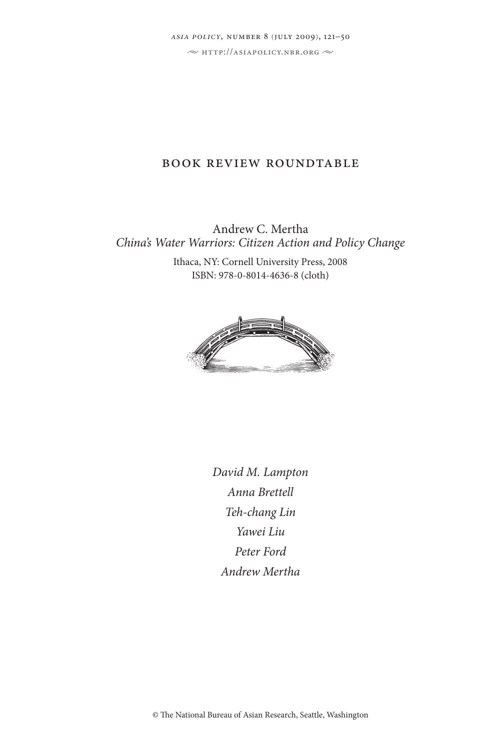$\sim$  http://asiapolicy.nbr.org  $\sim$ 

## book review roundtable

Andrew C. Mertha *China's Water Warriors: Citizen Action and Policy Change* Ithaca, NY: Cornell University Press, 2008 ISBN: 978-0-8014-4636-8 (cloth)



*David M. Lampton Anna Brettell Teh-chang Lin Yawei Liu Peter Ford Andrew Mertha*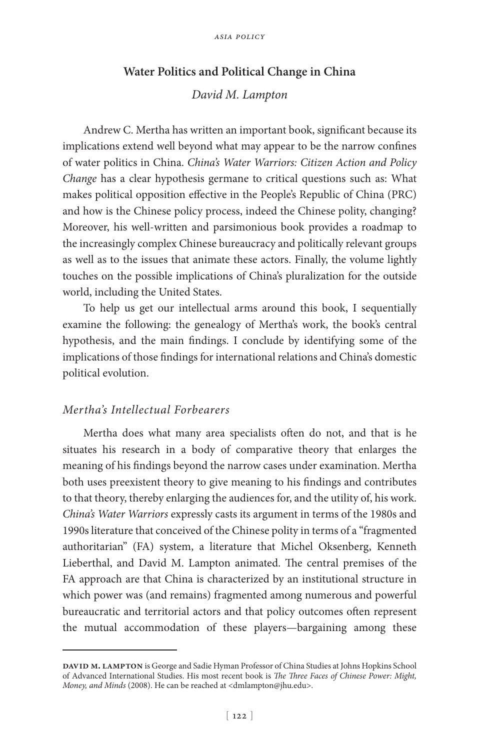#### **Water Politics and Political Change in China**

### *David M. Lampton*

Andrew C. Mertha has written an important book, significant because its implications extend well beyond what may appear to be the narrow confines of water politics in China. *China's Water Warriors: Citizen Action and Policy Change* has a clear hypothesis germane to critical questions such as: What makes political opposition effective in the People's Republic of China (PRC) and how is the Chinese policy process, indeed the Chinese polity, changing? Moreover, his well-written and parsimonious book provides a roadmap to the increasingly complex Chinese bureaucracy and politically relevant groups as well as to the issues that animate these actors. Finally, the volume lightly touches on the possible implications of China's pluralization for the outside world, including the United States.

To help us get our intellectual arms around this book, I sequentially examine the following: the genealogy of Mertha's work, the book's central hypothesis, and the main findings. I conclude by identifying some of the implications of those findings for international relations and China's domestic political evolution.

## *Mertha's Intellectual Forbearers*

Mertha does what many area specialists often do not, and that is he situates his research in a body of comparative theory that enlarges the meaning of his findings beyond the narrow cases under examination. Mertha both uses preexistent theory to give meaning to his findings and contributes to that theory, thereby enlarging the audiences for, and the utility of, his work. *China's Water Warriors* expressly casts its argument in terms of the 1980s and 1990s literature that conceived of the Chinese polity in terms of a "fragmented authoritarian" (FA) system, a literature that Michel Oksenberg, Kenneth Lieberthal, and David M. Lampton animated. The central premises of the FA approach are that China is characterized by an institutional structure in which power was (and remains) fragmented among numerous and powerful bureaucratic and territorial actors and that policy outcomes often represent the mutual accommodation of these players—bargaining among these

**david m. lampton** is George and Sadie Hyman Professor of China Studies at Johns Hopkins School of Advanced International Studies. His most recent book is *The Three Faces of Chinese Power: Might, Money, and Minds* (2008). He can be reached at <dmlampton@jhu.edu>.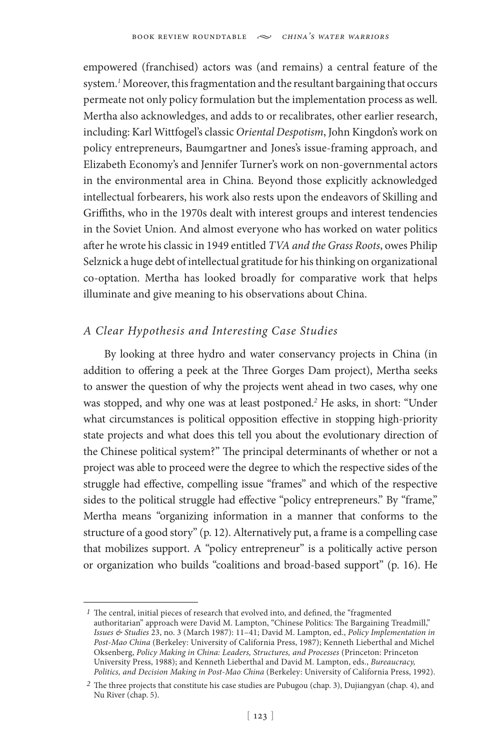empowered (franchised) actors was (and remains) a central feature of the system.*<sup>1</sup>* Moreover, this fragmentation and the resultant bargaining that occurs permeate not only policy formulation but the implementation process as well. Mertha also acknowledges, and adds to or recalibrates, other earlier research, including: Karl Wittfogel's classic *Oriental Despotism*, John Kingdon's work on policy entrepreneurs, Baumgartner and Jones's issue-framing approach, and Elizabeth Economy's and Jennifer Turner's work on non-governmental actors in the environmental area in China. Beyond those explicitly acknowledged intellectual forbearers, his work also rests upon the endeavors of Skilling and Griffiths, who in the 1970s dealt with interest groups and interest tendencies in the Soviet Union. And almost everyone who has worked on water politics after he wrote his classic in 1949 entitled *TVA and the Grass Roots*, owes Philip Selznick a huge debt of intellectual gratitude for his thinking on organizational co-optation. Mertha has looked broadly for comparative work that helps illuminate and give meaning to his observations about China.

### *A Clear Hypothesis and Interesting Case Studies*

By looking at three hydro and water conservancy projects in China (in addition to offering a peek at the Three Gorges Dam project), Mertha seeks to answer the question of why the projects went ahead in two cases, why one was stopped, and why one was at least postponed.*<sup>2</sup>* He asks, in short: "Under what circumstances is political opposition effective in stopping high-priority state projects and what does this tell you about the evolutionary direction of the Chinese political system?" The principal determinants of whether or not a project was able to proceed were the degree to which the respective sides of the struggle had effective, compelling issue "frames" and which of the respective sides to the political struggle had effective "policy entrepreneurs." By "frame," Mertha means "organizing information in a manner that conforms to the structure of a good story" (p. 12). Alternatively put, a frame is a compelling case that mobilizes support. A "policy entrepreneur" is a politically active person or organization who builds "coalitions and broad-based support" (p. 16). He

*<sup>1</sup>* The central, initial pieces of research that evolved into, and defined, the "fragmented authoritarian" approach were David M. Lampton, "Chinese Politics: The Bargaining Treadmill," *Issues & Studies* 23, no. 3 (March 1987): 11–41; David M. Lampton, ed., *Policy Implementation in Post-Mao China* (Berkeley: University of California Press, 1987); Kenneth Lieberthal and Michel Oksenberg, *Policy Making in China: Leaders, Structures, and Processes* (Princeton: Princeton University Press, 1988); and Kenneth Lieberthal and David M. Lampton, eds., *Bureaucracy, Politics, and Decision Making in Post-Mao China* (Berkeley: University of California Press, 1992).

*<sup>2</sup>* The three projects that constitute his case studies are Pubugou (chap. 3), Dujiangyan (chap. 4), and Nu River (chap. 5).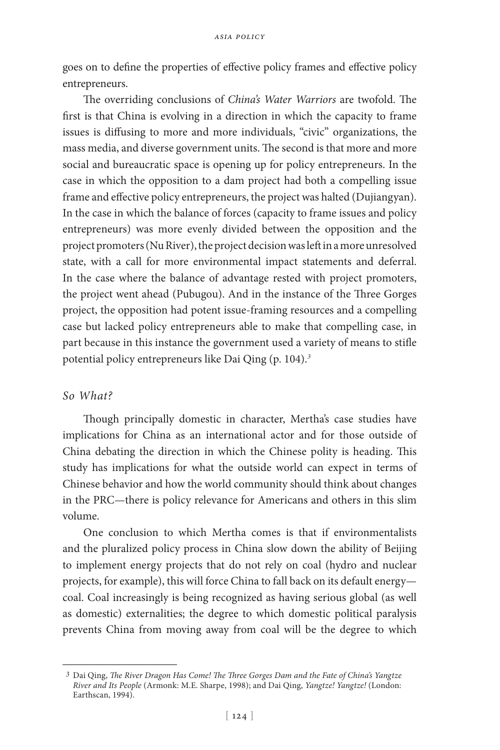goes on to define the properties of effective policy frames and effective policy entrepreneurs.

The overriding conclusions of *China's Water Warriors* are twofold. The first is that China is evolving in a direction in which the capacity to frame issues is diffusing to more and more individuals, "civic" organizations, the mass media, and diverse government units. The second is that more and more social and bureaucratic space is opening up for policy entrepreneurs. In the case in which the opposition to a dam project had both a compelling issue frame and effective policy entrepreneurs, the project was halted (Dujiangyan). In the case in which the balance of forces (capacity to frame issues and policy entrepreneurs) was more evenly divided between the opposition and the project promoters (Nu River), the project decision was left in a more unresolved state, with a call for more environmental impact statements and deferral. In the case where the balance of advantage rested with project promoters, the project went ahead (Pubugou). And in the instance of the Three Gorges project, the opposition had potent issue-framing resources and a compelling case but lacked policy entrepreneurs able to make that compelling case, in part because in this instance the government used a variety of means to stifle potential policy entrepreneurs like Dai Qing (p. 104).*<sup>3</sup>*

### *So What?*

Though principally domestic in character, Mertha's case studies have implications for China as an international actor and for those outside of China debating the direction in which the Chinese polity is heading. This study has implications for what the outside world can expect in terms of Chinese behavior and how the world community should think about changes in the PRC—there is policy relevance for Americans and others in this slim volume.

One conclusion to which Mertha comes is that if environmentalists and the pluralized policy process in China slow down the ability of Beijing to implement energy projects that do not rely on coal (hydro and nuclear projects, for example), this will force China to fall back on its default energy coal. Coal increasingly is being recognized as having serious global (as well as domestic) externalities; the degree to which domestic political paralysis prevents China from moving away from coal will be the degree to which

*<sup>3</sup>* Dai Qing, *The River Dragon Has Come! The Three Gorges Dam and the Fate of China's Yangtze River and Its People* (Armonk: M.E. Sharpe, 1998); and Dai Qing, *Yangtze! Yangtze!* (London: Earthscan, 1994).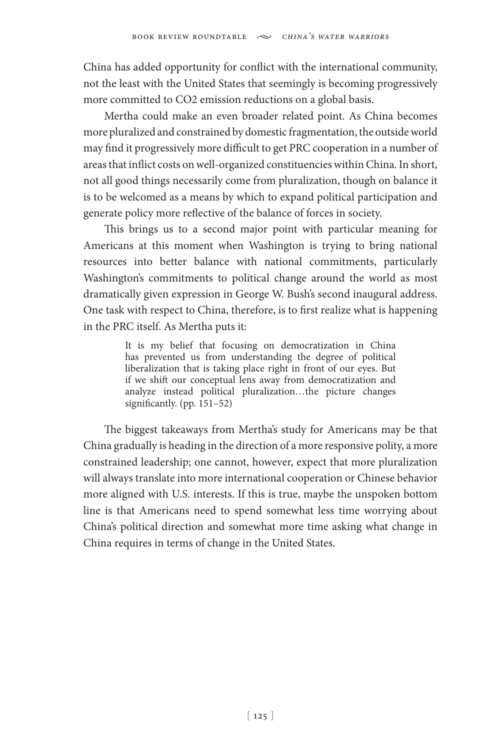China has added opportunity for conflict with the international community, not the least with the United States that seemingly is becoming progressively more committed to CO2 emission reductions on a global basis.

Mertha could make an even broader related point. As China becomes more pluralized and constrained by domestic fragmentation, the outside world may find it progressively more difficult to get PRC cooperation in a number of areas that inflict costs on well-organized constituencies within China. In short, not all good things necessarily come from pluralization, though on balance it is to be welcomed as a means by which to expand political participation and generate policy more reflective of the balance of forces in society.

This brings us to a second major point with particular meaning for Americans at this moment when Washington is trying to bring national resources into better balance with national commitments, particularly Washington's commitments to political change around the world as most dramatically given expression in George W. Bush's second inaugural address. One task with respect to China, therefore, is to first realize what is happening in the PRC itself. As Mertha puts it:

> It is my belief that focusing on democratization in China has prevented us from understanding the degree of political liberalization that is taking place right in front of our eyes. But if we shift our conceptual lens away from democratization and analyze instead political pluralization…the picture changes significantly. (pp. 151–52)

The biggest takeaways from Mertha's study for Americans may be that China gradually is heading in the direction of a more responsive polity, a more constrained leadership; one cannot, however, expect that more pluralization will always translate into more international cooperation or Chinese behavior more aligned with U.S. interests. If this is true, maybe the unspoken bottom line is that Americans need to spend somewhat less time worrying about China's political direction and somewhat more time asking what change in China requires in terms of change in the United States.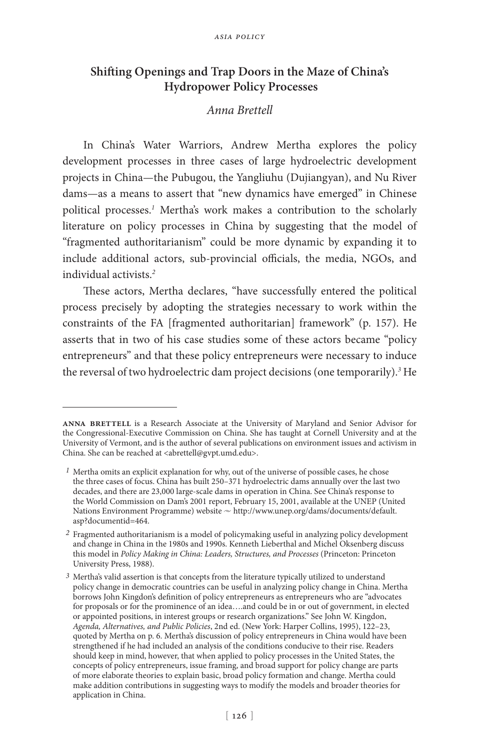# **Shifting Openings and Trap Doors in the Maze of China's Hydropower Policy Processes**

## *Anna Brettell*

In China's Water Warriors, Andrew Mertha explores the policy development processes in three cases of large hydroelectric development projects in China—the Pubugou, the Yangliuhu (Dujiangyan), and Nu River dams—as a means to assert that "new dynamics have emerged" in Chinese political processes.*<sup>1</sup>* Mertha's work makes a contribution to the scholarly literature on policy processes in China by suggesting that the model of "fragmented authoritarianism" could be more dynamic by expanding it to include additional actors, sub-provincial officials, the media, NGOs, and individual activists.*<sup>2</sup>*

These actors, Mertha declares, "have successfully entered the political process precisely by adopting the strategies necessary to work within the constraints of the FA [fragmented authoritarian] framework" (p. 157). He asserts that in two of his case studies some of these actors became "policy entrepreneurs" and that these policy entrepreneurs were necessary to induce the reversal of two hydroelectric dam project decisions (one temporarily).*<sup>3</sup>* He

ANNA BRETTELL is a Research Associate at the University of Maryland and Senior Advisor for the Congressional-Executive Commission on China. She has taught at Cornell University and at the University of Vermont, and is the author of several publications on environment issues and activism in China. She can be reached at <abrettell@gvpt.umd.edu>.

*<sup>1</sup>* Mertha omits an explicit explanation for why, out of the universe of possible cases, he chose the three cases of focus. China has built 250–371 hydroelectric dams annually over the last two decades, and there are 23,000 large-scale dams in operation in China. See China's response to the World Commission on Dam's 2001 report, February 15, 2001, available at the UNEP (United Nations Environment Programme) website  $\sim$  http://www.unep.org/dams/documents/default. asp?documentid=464.

*<sup>2</sup>* Fragmented authoritarianism is a model of policymaking useful in analyzing policy development and change in China in the 1980s and 1990s. Kenneth Lieberthal and Michel Oksenberg discuss this model in *Policy Making in China: Leaders, Structures, and Processes* (Princeton: Princeton University Press, 1988).

*<sup>3</sup>* Mertha's valid assertion is that concepts from the literature typically utilized to understand policy change in democratic countries can be useful in analyzing policy change in China. Mertha borrows John Kingdon's definition of policy entrepreneurs as entrepreneurs who are "advocates for proposals or for the prominence of an idea….and could be in or out of government, in elected or appointed positions, in interest groups or research organizations." See John W. Kingdon, *Agenda, Alternatives, and Public Policies*, 2nd ed. (New York: Harper Collins, 1995), 122–23, quoted by Mertha on p. 6. Mertha's discussion of policy entrepreneurs in China would have been strengthened if he had included an analysis of the conditions conducive to their rise. Readers should keep in mind, however, that when applied to policy processes in the United States, the concepts of policy entrepreneurs, issue framing, and broad support for policy change are parts of more elaborate theories to explain basic, broad policy formation and change. Mertha could make addition contributions in suggesting ways to modify the models and broader theories for application in China.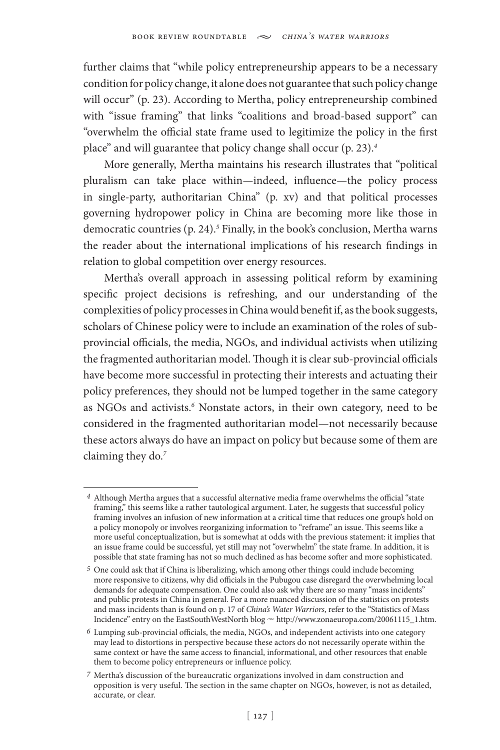further claims that "while policy entrepreneurship appears to be a necessary condition for policy change, it alone does not guarantee that such policy change will occur" (p. 23). According to Mertha, policy entrepreneurship combined with "issue framing" that links "coalitions and broad-based support" can "overwhelm the official state frame used to legitimize the policy in the first place" and will guarantee that policy change shall occur (p. 23).*<sup>4</sup>*

More generally, Mertha maintains his research illustrates that "political pluralism can take place within—indeed, influence—the policy process in single-party, authoritarian China" (p. xv) and that political processes governing hydropower policy in China are becoming more like those in democratic countries (p. 24).*<sup>5</sup>* Finally, in the book's conclusion, Mertha warns the reader about the international implications of his research findings in relation to global competition over energy resources.

Mertha's overall approach in assessing political reform by examining specific project decisions is refreshing, and our understanding of the complexities of policy processes in China would benefit if, as the book suggests, scholars of Chinese policy were to include an examination of the roles of subprovincial officials, the media, NGOs, and individual activists when utilizing the fragmented authoritarian model. Though it is clear sub-provincial officials have become more successful in protecting their interests and actuating their policy preferences, they should not be lumped together in the same category as NGOs and activists.*<sup>6</sup>* Nonstate actors, in their own category, need to be considered in the fragmented authoritarian model—not necessarily because these actors always do have an impact on policy but because some of them are claiming they do.*<sup>7</sup>*

*<sup>4</sup>* Although Mertha argues that a successful alternative media frame overwhelms the official "state framing," this seems like a rather tautological argument. Later, he suggests that successful policy framing involves an infusion of new information at a critical time that reduces one group's hold on a policy monopoly or involves reorganizing information to "reframe" an issue. This seems like a more useful conceptualization, but is somewhat at odds with the previous statement: it implies that an issue frame could be successful, yet still may not "overwhelm" the state frame. In addition, it is possible that state framing has not so much declined as has become softer and more sophisticated.

*<sup>5</sup>* One could ask that if China is liberalizing, which among other things could include becoming more responsive to citizens, why did officials in the Pubugou case disregard the overwhelming local demands for adequate compensation. One could also ask why there are so many "mass incidents" and public protests in China in general. For a more nuanced discussion of the statistics on protests and mass incidents than is found on p. 17 of *China's Water Warriors*, refer to the "Statistics of Mass Incidence" entry on the EastSouthWestNorth blog  $\sim$  http://www.zonaeuropa.com/20061115\_1.htm.

*<sup>6</sup>* Lumping sub-provincial officials, the media, NGOs, and independent activists into one category may lead to distortions in perspective because these actors do not necessarily operate within the same context or have the same access to financial, informational, and other resources that enable them to become policy entrepreneurs or influence policy.

*<sup>7</sup>* Mertha's discussion of the bureaucratic organizations involved in dam construction and opposition is very useful. The section in the same chapter on NGOs, however, is not as detailed, accurate, or clear.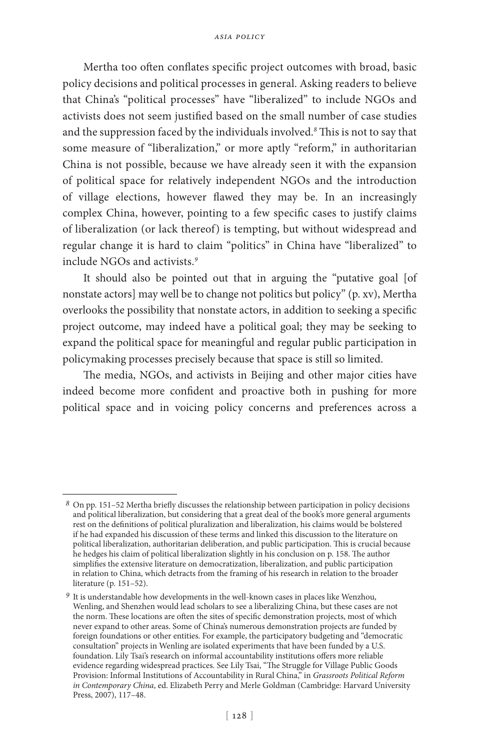Mertha too often conflates specific project outcomes with broad, basic policy decisions and political processes in general. Asking readers to believe that China's "political processes" have "liberalized" to include NGOs and activists does not seem justified based on the small number of case studies and the suppression faced by the individuals involved.*<sup>8</sup>* This is not to say that some measure of "liberalization," or more aptly "reform," in authoritarian China is not possible, because we have already seen it with the expansion of political space for relatively independent NGOs and the introduction of village elections, however flawed they may be. In an increasingly complex China, however, pointing to a few specific cases to justify claims of liberalization (or lack thereof) is tempting, but without widespread and regular change it is hard to claim "politics" in China have "liberalized" to include NGOs and activists.*<sup>9</sup>*

It should also be pointed out that in arguing the "putative goal [of nonstate actors] may well be to change not politics but policy" (p. xv), Mertha overlooks the possibility that nonstate actors, in addition to seeking a specific project outcome, may indeed have a political goal; they may be seeking to expand the political space for meaningful and regular public participation in policymaking processes precisely because that space is still so limited.

The media, NGOs, and activists in Beijing and other major cities have indeed become more confident and proactive both in pushing for more political space and in voicing policy concerns and preferences across a

*<sup>8</sup>* On pp. 151–52 Mertha briefly discusses the relationship between participation in policy decisions and political liberalization, but considering that a great deal of the book's more general arguments rest on the definitions of political pluralization and liberalization, his claims would be bolstered if he had expanded his discussion of these terms and linked this discussion to the literature on political liberalization, authoritarian deliberation, and public participation. This is crucial because he hedges his claim of political liberalization slightly in his conclusion on p. 158. The author simplifies the extensive literature on democratization, liberalization, and public participation in relation to China, which detracts from the framing of his research in relation to the broader literature (p. 151–52).

*<sup>9</sup>* It is understandable how developments in the well-known cases in places like Wenzhou, Wenling, and Shenzhen would lead scholars to see a liberalizing China, but these cases are not the norm. These locations are often the sites of specific demonstration projects, most of which never expand to other areas. Some of China's numerous demonstration projects are funded by foreign foundations or other entities. For example, the participatory budgeting and "democratic consultation" projects in Wenling are isolated experiments that have been funded by a U.S. foundation. Lily Tsai's research on informal accountability institutions offers more reliable evidence regarding widespread practices. See Lily Tsai, "The Struggle for Village Public Goods Provision: Informal Institutions of Accountability in Rural China," in *Grassroots Political Reform in Contemporary China*, ed. Elizabeth Perry and Merle Goldman (Cambridge: Harvard University Press, 2007), 117–48.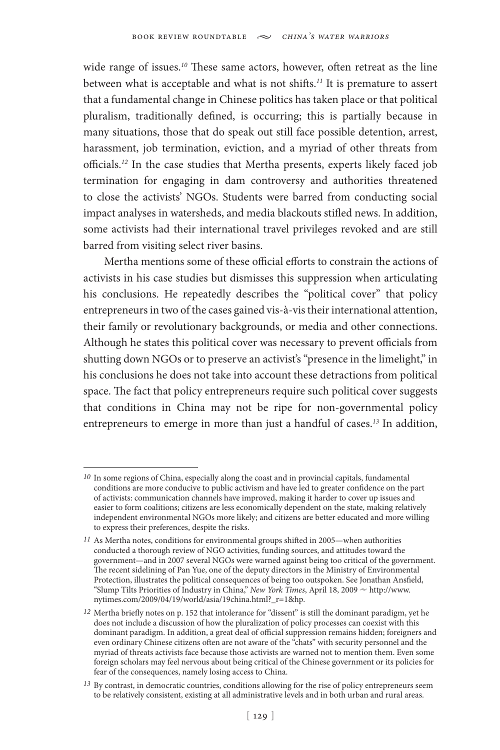wide range of issues.*<sup>10</sup>* These same actors, however, often retreat as the line between what is acceptable and what is not shifts.*<sup>11</sup>* It is premature to assert that a fundamental change in Chinese politics has taken place or that political pluralism, traditionally defined, is occurring; this is partially because in many situations, those that do speak out still face possible detention, arrest, harassment, job termination, eviction, and a myriad of other threats from officials.*<sup>12</sup>* In the case studies that Mertha presents, experts likely faced job termination for engaging in dam controversy and authorities threatened to close the activists' NGOs. Students were barred from conducting social impact analyses in watersheds, and media blackouts stifled news. In addition, some activists had their international travel privileges revoked and are still barred from visiting select river basins.

Mertha mentions some of these official efforts to constrain the actions of activists in his case studies but dismisses this suppression when articulating his conclusions. He repeatedly describes the "political cover" that policy entrepreneurs in two of the cases gained vis-à-vis their international attention, their family or revolutionary backgrounds, or media and other connections. Although he states this political cover was necessary to prevent officials from shutting down NGOs or to preserve an activist's "presence in the limelight," in his conclusions he does not take into account these detractions from political space. The fact that policy entrepreneurs require such political cover suggests that conditions in China may not be ripe for non-governmental policy entrepreneurs to emerge in more than just a handful of cases.*<sup>13</sup>* In addition,

*<sup>10</sup>* In some regions of China, especially along the coast and in provincial capitals, fundamental conditions are more conducive to public activism and have led to greater confidence on the part of activists: communication channels have improved, making it harder to cover up issues and easier to form coalitions; citizens are less economically dependent on the state, making relatively independent environmental NGOs more likely; and citizens are better educated and more willing to express their preferences, despite the risks.

*<sup>11</sup>* As Mertha notes, conditions for environmental groups shifted in 2005—when authorities conducted a thorough review of NGO activities, funding sources, and attitudes toward the government—and in 2007 several NGOs were warned against being too critical of the government. The recent sidelining of Pan Yue, one of the deputy directors in the Ministry of Environmental Protection, illustrates the political consequences of being too outspoken. See Jonathan Ansfield, "Slump Tilts Priorities of Industry in China," *New York Times*, April 18, 2009  $\sim$  http://www. nytimes.com/2009/04/19/world/asia/19china.html?\_r=1&hp.

*<sup>12</sup>* Mertha briefly notes on p. 152 that intolerance for "dissent" is still the dominant paradigm, yet he does not include a discussion of how the pluralization of policy processes can coexist with this dominant paradigm. In addition, a great deal of official suppression remains hidden; foreigners and even ordinary Chinese citizens often are not aware of the "chats" with security personnel and the myriad of threats activists face because those activists are warned not to mention them. Even some foreign scholars may feel nervous about being critical of the Chinese government or its policies for fear of the consequences, namely losing access to China.

*<sup>13</sup>* By contrast, in democratic countries, conditions allowing for the rise of policy entrepreneurs seem to be relatively consistent, existing at all administrative levels and in both urban and rural areas.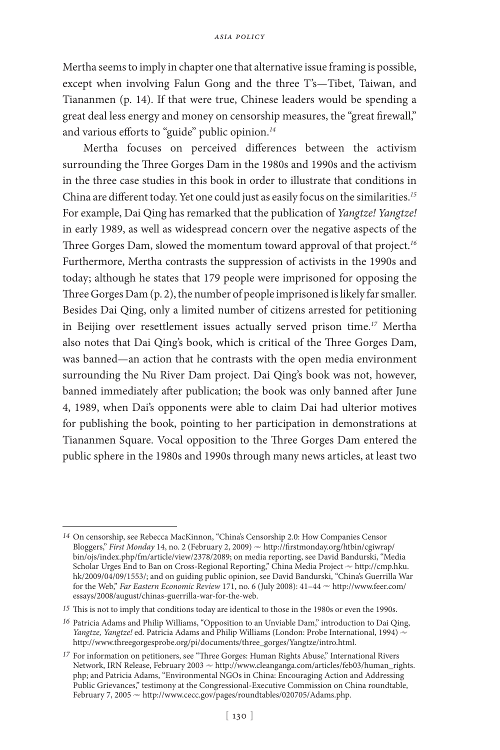Mertha seems to imply in chapter one that alternative issue framing is possible, except when involving Falun Gong and the three T's—Tibet, Taiwan, and Tiananmen (p. 14). If that were true, Chinese leaders would be spending a great deal less energy and money on censorship measures, the "great firewall," and various efforts to "guide" public opinion.*<sup>14</sup>*

Mertha focuses on perceived differences between the activism surrounding the Three Gorges Dam in the 1980s and 1990s and the activism in the three case studies in this book in order to illustrate that conditions in China are different today. Yet one could just as easily focus on the similarities.*<sup>15</sup>* For example, Dai Qing has remarked that the publication of *Yangtze! Yangtze!* in early 1989, as well as widespread concern over the negative aspects of the Three Gorges Dam, slowed the momentum toward approval of that project.*<sup>16</sup>* Furthermore, Mertha contrasts the suppression of activists in the 1990s and today; although he states that 179 people were imprisoned for opposing the Three Gorges Dam (p. 2), the number of people imprisoned is likely far smaller. Besides Dai Qing, only a limited number of citizens arrested for petitioning in Beijing over resettlement issues actually served prison time.*<sup>17</sup>* Mertha also notes that Dai Qing's book, which is critical of the Three Gorges Dam, was banned—an action that he contrasts with the open media environment surrounding the Nu River Dam project. Dai Qing's book was not, however, banned immediately after publication; the book was only banned after June 4, 1989, when Dai's opponents were able to claim Dai had ulterior motives for publishing the book, pointing to her participation in demonstrations at Tiananmen Square. Vocal opposition to the Three Gorges Dam entered the public sphere in the 1980s and 1990s through many news articles, at least two

*<sup>14</sup>* On censorship, see Rebecca MacKinnon, "China's Censorship 2.0: How Companies Censor Bloggers," *First Monday* 14, no. 2 (February 2, 2009)  $\sim$  http://firstmonday.org/htbin/cgiwrap/ bin/ojs/index.php/fm/article/view/2378/2089; on media reporting, see David Bandurski, "Media Scholar Urges End to Ban on Cross-Regional Reporting," China Media Project ~ http://cmp.hku. hk/2009/04/09/1553/; and on guiding public opinion, see David Bandurski, "China's Guerrilla War for the Web," Far Eastern Economic Review 171, no. 6 (July 2008): 41-44  $\sim$  http://www.feer.com/ essays/2008/august/chinas-guerrilla-war-for-the-web.

*<sup>15</sup>* This is not to imply that conditions today are identical to those in the 1980s or even the 1990s.

*<sup>16</sup>* Patricia Adams and Philip Williams, "Opposition to an Unviable Dam," introduction to Dai Qing, *Yangtze, Yangtze!* ed. Patricia Adams and Philip Williams (London: Probe International, 1994) <sup>u</sup> http://www.threegorgesprobe.org/pi/documents/three\_gorges/Yangtze/intro.html.

<sup>17</sup> For information on petitioners, see "Three Gorges: Human Rights Abuse," International Rivers Network, IRN Release, February 2003 ~ http://www.cleanganga.com/articles/feb03/human\_rights. php; and Patricia Adams, "Environmental NGOs in China: Encouraging Action and Addressing Public Grievances," testimony at the Congressional-Executive Commission on China roundtable, February 7, 2005  $\sim$  http://www.cecc.gov/pages/roundtables/020705/Adams.php.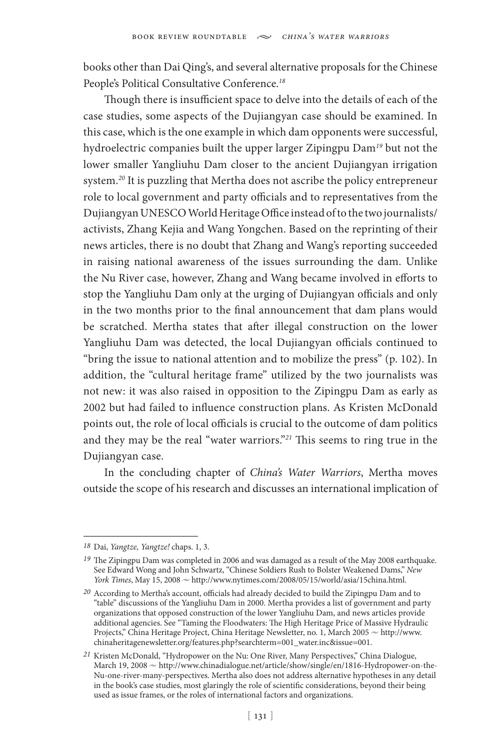books other than Dai Qing's, and several alternative proposals for the Chinese People's Political Consultative Conference.*<sup>18</sup>*

Though there is insufficient space to delve into the details of each of the case studies, some aspects of the Dujiangyan case should be examined. In this case, which is the one example in which dam opponents were successful, hydroelectric companies built the upper larger Zipingpu Dam*<sup>19</sup>* but not the lower smaller Yangliuhu Dam closer to the ancient Dujiangyan irrigation system.*<sup>20</sup>* It is puzzling that Mertha does not ascribe the policy entrepreneur role to local government and party officials and to representatives from the Dujiangyan UNESCO World Heritage Office instead of to the two journalists/ activists, Zhang Kejia and Wang Yongchen. Based on the reprinting of their news articles, there is no doubt that Zhang and Wang's reporting succeeded in raising national awareness of the issues surrounding the dam. Unlike the Nu River case, however, Zhang and Wang became involved in efforts to stop the Yangliuhu Dam only at the urging of Dujiangyan officials and only in the two months prior to the final announcement that dam plans would be scratched. Mertha states that after illegal construction on the lower Yangliuhu Dam was detected, the local Dujiangyan officials continued to "bring the issue to national attention and to mobilize the press" (p. 102). In addition, the "cultural heritage frame" utilized by the two journalists was not new: it was also raised in opposition to the Zipingpu Dam as early as 2002 but had failed to influence construction plans. As Kristen McDonald points out, the role of local officials is crucial to the outcome of dam politics and they may be the real "water warriors."*<sup>21</sup>* This seems to ring true in the Dujiangyan case.

In the concluding chapter of *China's Water Warriors*, Mertha moves outside the scope of his research and discusses an international implication of

*<sup>18</sup>* Dai, *Yangtze, Yangtze!* chaps. 1, 3.

*<sup>19</sup>* The Zipingpu Dam was completed in 2006 and was damaged as a result of the May 2008 earthquake. See Edward Wong and John Schwartz, "Chinese Soldiers Rush to Bolster Weakened Dams," *New York Times*, May 15, 2008  $\sim$  http://www.nytimes.com/2008/05/15/world/asia/15china.html.

*<sup>20</sup>* According to Mertha's account, officials had already decided to build the Zipingpu Dam and to "table" discussions of the Yangliuhu Dam in 2000. Mertha provides a list of government and party organizations that opposed construction of the lower Yangliuhu Dam, and news articles provide additional agencies. See "Taming the Floodwaters: The High Heritage Price of Massive Hydraulic Projects," China Heritage Project, China Heritage Newsletter, no. 1, March 2005  $\sim$  http://www. chinaheritagenewsletter.org/features.php?searchterm=001\_water.inc&issue=001.

*<sup>21</sup>* Kristen McDonald, "Hydropower on the Nu: One River, Many Perspectives," China Dialogue, March 19, 2008 ~ http://www.chinadialogue.net/article/show/single/en/1816-Hydropower-on-the-Nu-one-river-many-perspectives. Mertha also does not address alternative hypotheses in any detail in the book's case studies, most glaringly the role of scientific considerations, beyond their being used as issue frames, or the roles of international factors and organizations.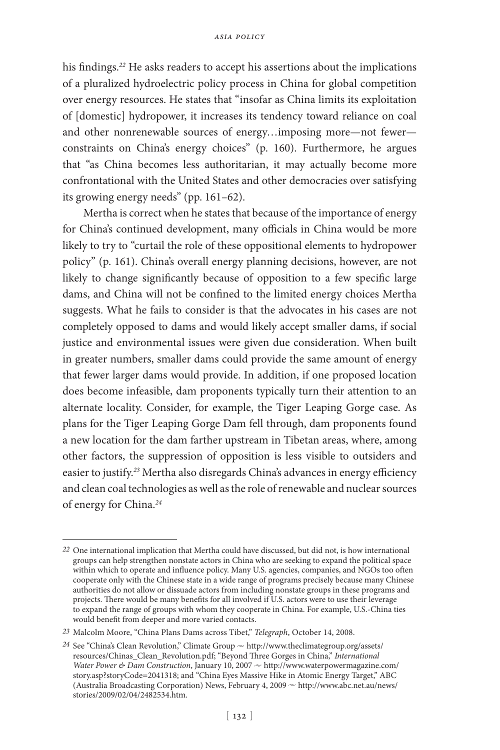his findings.*<sup>22</sup>* He asks readers to accept his assertions about the implications of a pluralized hydroelectric policy process in China for global competition over energy resources. He states that "insofar as China limits its exploitation of [domestic] hydropower, it increases its tendency toward reliance on coal and other nonrenewable sources of energy…imposing more—not fewer constraints on China's energy choices" (p. 160). Furthermore, he argues that "as China becomes less authoritarian, it may actually become more confrontational with the United States and other democracies over satisfying its growing energy needs" (pp. 161–62).

Mertha is correct when he states that because of the importance of energy for China's continued development, many officials in China would be more likely to try to "curtail the role of these oppositional elements to hydropower policy" (p. 161). China's overall energy planning decisions, however, are not likely to change significantly because of opposition to a few specific large dams, and China will not be confined to the limited energy choices Mertha suggests. What he fails to consider is that the advocates in his cases are not completely opposed to dams and would likely accept smaller dams, if social justice and environmental issues were given due consideration. When built in greater numbers, smaller dams could provide the same amount of energy that fewer larger dams would provide. In addition, if one proposed location does become infeasible, dam proponents typically turn their attention to an alternate locality. Consider, for example, the Tiger Leaping Gorge case. As plans for the Tiger Leaping Gorge Dam fell through, dam proponents found a new location for the dam farther upstream in Tibetan areas, where, among other factors, the suppression of opposition is less visible to outsiders and easier to justify.*<sup>23</sup>* Mertha also disregards China's advances in energy efficiency and clean coal technologies as well as the role of renewable and nuclear sources of energy for China.*<sup>24</sup>*

*<sup>22</sup>* One international implication that Mertha could have discussed, but did not, is how international groups can help strengthen nonstate actors in China who are seeking to expand the political space within which to operate and influence policy. Many U.S. agencies, companies, and NGOs too often cooperate only with the Chinese state in a wide range of programs precisely because many Chinese authorities do not allow or dissuade actors from including nonstate groups in these programs and projects. There would be many benefits for all involved if U.S. actors were to use their leverage to expand the range of groups with whom they cooperate in China. For example, U.S.-China ties would benefit from deeper and more varied contacts.

*<sup>23</sup>* Malcolm Moore, "China Plans Dams across Tibet," *Telegraph*, October 14, 2008.

<sup>24</sup> See "China's Clean Revolution," Climate Group  $\sim$  http://www.theclimategroup.org/assets/ resources/Chinas\_Clean\_Revolution.pdf; "Beyond Three Gorges in China," *International*  Water Power & Dam Construction, January 10, 2007  $\sim$  http://www.waterpowermagazine.com/ story.asp?storyCode=2041318; and "China Eyes Massive Hike in Atomic Energy Target," ABC (Australia Broadcasting Corporation) News, February 4, 2009  $\sim$  http://www.abc.net.au/news/ stories/2009/02/04/2482534.htm.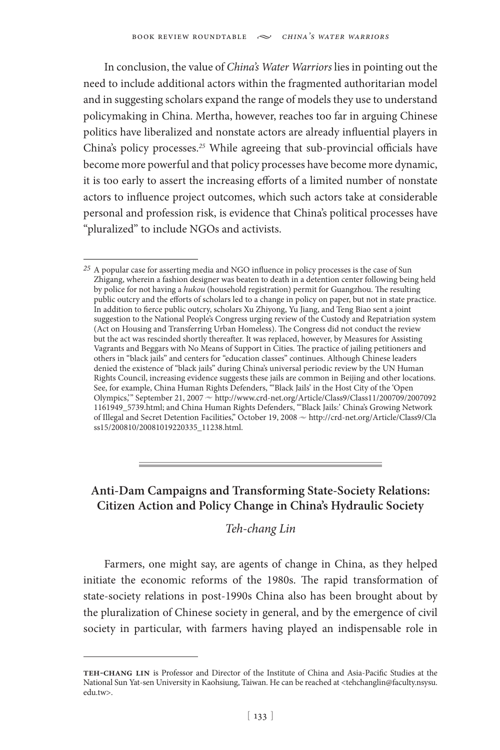In conclusion, the value of *China's Water Warriors* lies in pointing out the need to include additional actors within the fragmented authoritarian model and in suggesting scholars expand the range of models they use to understand policymaking in China. Mertha, however, reaches too far in arguing Chinese politics have liberalized and nonstate actors are already influential players in China's policy processes.*<sup>25</sup>* While agreeing that sub-provincial officials have become more powerful and that policy processes have become more dynamic, it is too early to assert the increasing efforts of a limited number of nonstate actors to influence project outcomes, which such actors take at considerable personal and profession risk, is evidence that China's political processes have "pluralized" to include NGOs and activists.

# **Anti-Dam Campaigns and Transforming State-Society Relations: Citizen Action and Policy Change in China's Hydraulic Society**

*Teh-chang Lin*

Farmers, one might say, are agents of change in China, as they helped initiate the economic reforms of the 1980s. The rapid transformation of state-society relations in post-1990s China also has been brought about by the pluralization of Chinese society in general, and by the emergence of civil society in particular, with farmers having played an indispensable role in

*<sup>25</sup>* A popular case for asserting media and NGO influence in policy processes is the case of Sun Zhigang, wherein a fashion designer was beaten to death in a detention center following being held by police for not having a *hukou* (household registration) permit for Guangzhou. The resulting public outcry and the efforts of scholars led to a change in policy on paper, but not in state practice. In addition to fierce public outcry, scholars Xu Zhiyong, Yu Jiang, and Teng Biao sent a joint suggestion to the National People's Congress urging review of the Custody and Repatriation system (Act on Housing and Transferring Urban Homeless). The Congress did not conduct the review but the act was rescinded shortly thereafter. It was replaced, however, by Measures for Assisting Vagrants and Beggars with No Means of Support in Cities. The practice of jailing petitioners and others in "black jails" and centers for "education classes" continues. Although Chinese leaders denied the existence of "black jails" during China's universal periodic review by the UN Human Rights Council, increasing evidence suggests these jails are common in Beijing and other locations. See, for example, China Human Rights Defenders, "'Black Jails' in the Host City of the 'Open Olympics," September 21, 2007  $\sim$  http://www.crd-net.org/Article/Class9/Class11/200709/2007092 1161949\_5739.html; and China Human Rights Defenders, "'Black Jails:' China's Growing Network of Illegal and Secret Detention Facilities," October 19, 2008  $\sim$  http://crd-net.org/Article/Class9/Cla ss15/200810/20081019220335\_11238.html.

**teh-chang lin** is Professor and Director of the Institute of China and Asia-Pacific Studies at the National Sun Yat-sen University in Kaohsiung, Taiwan. He can be reached at <tehchanglin@faculty.nsysu. edu.tw>.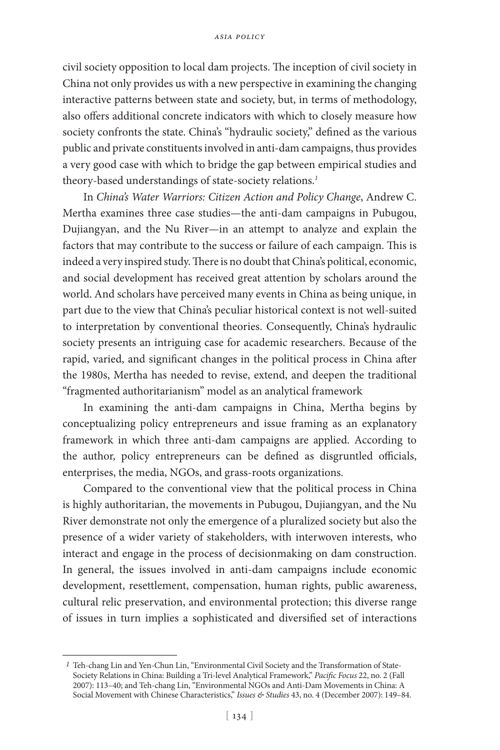civil society opposition to local dam projects. The inception of civil society in China not only provides us with a new perspective in examining the changing interactive patterns between state and society, but, in terms of methodology, also offers additional concrete indicators with which to closely measure how society confronts the state. China's "hydraulic society," defined as the various public and private constituents involved in anti-dam campaigns, thus provides a very good case with which to bridge the gap between empirical studies and theory-based understandings of state-society relations.*<sup>1</sup>*

In *China's Water Warriors: Citizen Action and Policy Change*, Andrew C. Mertha examines three case studies—the anti-dam campaigns in Pubugou, Dujiangyan, and the Nu River—in an attempt to analyze and explain the factors that may contribute to the success or failure of each campaign. This is indeed a very inspired study. There is no doubt that China's political, economic, and social development has received great attention by scholars around the world. And scholars have perceived many events in China as being unique, in part due to the view that China's peculiar historical context is not well-suited to interpretation by conventional theories. Consequently, China's hydraulic society presents an intriguing case for academic researchers. Because of the rapid, varied, and significant changes in the political process in China after the 1980s, Mertha has needed to revise, extend, and deepen the traditional "fragmented authoritarianism" model as an analytical framework

In examining the anti-dam campaigns in China, Mertha begins by conceptualizing policy entrepreneurs and issue framing as an explanatory framework in which three anti-dam campaigns are applied. According to the author, policy entrepreneurs can be defined as disgruntled officials, enterprises, the media, NGOs, and grass-roots organizations.

Compared to the conventional view that the political process in China is highly authoritarian, the movements in Pubugou, Dujiangyan, and the Nu River demonstrate not only the emergence of a pluralized society but also the presence of a wider variety of stakeholders, with interwoven interests, who interact and engage in the process of decisionmaking on dam construction. In general, the issues involved in anti-dam campaigns include economic development, resettlement, compensation, human rights, public awareness, cultural relic preservation, and environmental protection; this diverse range of issues in turn implies a sophisticated and diversified set of interactions

*<sup>1</sup>* Teh-chang Lin and Yen-Chun Lin, "Environmental Civil Society and the Transformation of State-Society Relations in China: Building a Tri-level Analytical Framework," *Pacific Focus* 22, no. 2 (Fall 2007): 113–40; and Teh-chang Lin, "Environmental NGOs and Anti-Dam Movements in China: A Social Movement with Chinese Characteristics," *Issues & Studies* 43, no. 4 (December 2007): 149–84.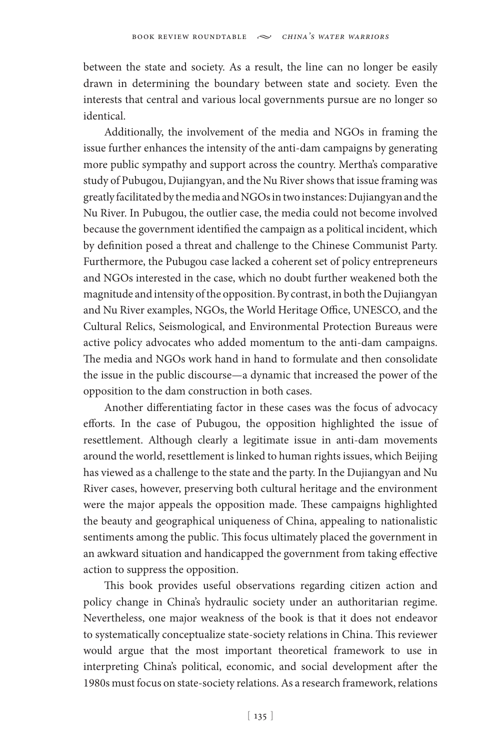between the state and society. As a result, the line can no longer be easily drawn in determining the boundary between state and society. Even the interests that central and various local governments pursue are no longer so identical.

Additionally, the involvement of the media and NGOs in framing the issue further enhances the intensity of the anti-dam campaigns by generating more public sympathy and support across the country. Mertha's comparative study of Pubugou, Dujiangyan, and the Nu River shows that issue framing was greatly facilitated by the media and NGOs in two instances: Dujiangyan and the Nu River. In Pubugou, the outlier case, the media could not become involved because the government identified the campaign as a political incident, which by definition posed a threat and challenge to the Chinese Communist Party. Furthermore, the Pubugou case lacked a coherent set of policy entrepreneurs and NGOs interested in the case, which no doubt further weakened both the magnitude and intensity of the opposition. By contrast, in both the Dujiangyan and Nu River examples, NGOs, the World Heritage Office, UNESCO, and the Cultural Relics, Seismological, and Environmental Protection Bureaus were active policy advocates who added momentum to the anti-dam campaigns. The media and NGOs work hand in hand to formulate and then consolidate the issue in the public discourse—a dynamic that increased the power of the opposition to the dam construction in both cases.

Another differentiating factor in these cases was the focus of advocacy efforts. In the case of Pubugou, the opposition highlighted the issue of resettlement. Although clearly a legitimate issue in anti-dam movements around the world, resettlement is linked to human rights issues, which Beijing has viewed as a challenge to the state and the party. In the Dujiangyan and Nu River cases, however, preserving both cultural heritage and the environment were the major appeals the opposition made. These campaigns highlighted the beauty and geographical uniqueness of China, appealing to nationalistic sentiments among the public. This focus ultimately placed the government in an awkward situation and handicapped the government from taking effective action to suppress the opposition.

This book provides useful observations regarding citizen action and policy change in China's hydraulic society under an authoritarian regime. Nevertheless, one major weakness of the book is that it does not endeavor to systematically conceptualize state-society relations in China. This reviewer would argue that the most important theoretical framework to use in interpreting China's political, economic, and social development after the 1980s must focus on state-society relations. As a research framework, relations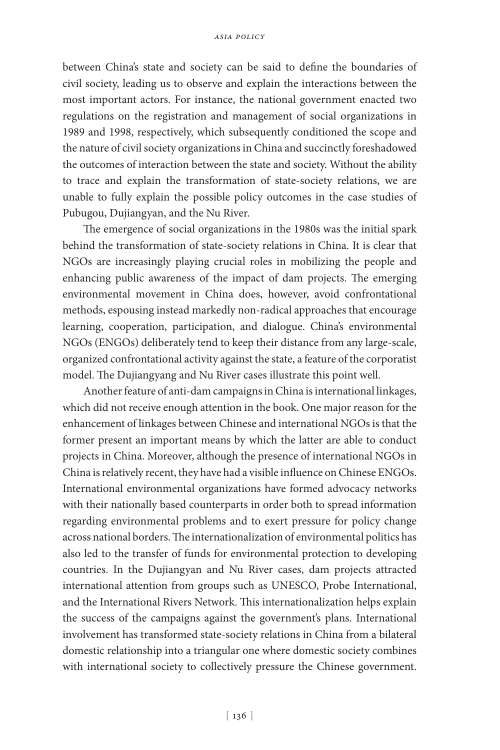between China's state and society can be said to define the boundaries of civil society, leading us to observe and explain the interactions between the most important actors. For instance, the national government enacted two regulations on the registration and management of social organizations in 1989 and 1998, respectively, which subsequently conditioned the scope and the nature of civil society organizations in China and succinctly foreshadowed the outcomes of interaction between the state and society. Without the ability to trace and explain the transformation of state-society relations, we are unable to fully explain the possible policy outcomes in the case studies of Pubugou, Dujiangyan, and the Nu River.

The emergence of social organizations in the 1980s was the initial spark behind the transformation of state-society relations in China. It is clear that NGOs are increasingly playing crucial roles in mobilizing the people and enhancing public awareness of the impact of dam projects. The emerging environmental movement in China does, however, avoid confrontational methods, espousing instead markedly non-radical approaches that encourage learning, cooperation, participation, and dialogue. China's environmental NGOs (ENGOs) deliberately tend to keep their distance from any large-scale, organized confrontational activity against the state, a feature of the corporatist model. The Dujiangyang and Nu River cases illustrate this point well.

Another feature of anti-dam campaigns in China is international linkages, which did not receive enough attention in the book. One major reason for the enhancement of linkages between Chinese and international NGOs is that the former present an important means by which the latter are able to conduct projects in China. Moreover, although the presence of international NGOs in China is relatively recent, they have had a visible influence on Chinese ENGOs. International environmental organizations have formed advocacy networks with their nationally based counterparts in order both to spread information regarding environmental problems and to exert pressure for policy change across national borders. The internationalization of environmental politics has also led to the transfer of funds for environmental protection to developing countries. In the Dujiangyan and Nu River cases, dam projects attracted international attention from groups such as UNESCO, Probe International, and the International Rivers Network. This internationalization helps explain the success of the campaigns against the government's plans. International involvement has transformed state-society relations in China from a bilateral domestic relationship into a triangular one where domestic society combines with international society to collectively pressure the Chinese government.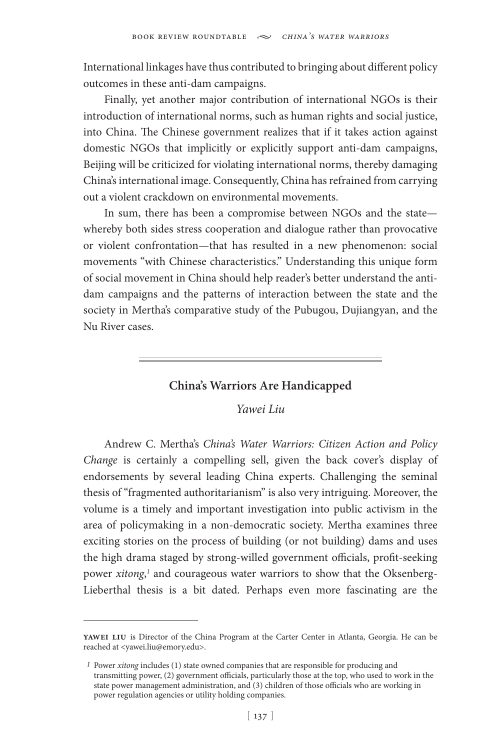International linkages have thus contributed to bringing about different policy outcomes in these anti-dam campaigns.

Finally, yet another major contribution of international NGOs is their introduction of international norms, such as human rights and social justice, into China. The Chinese government realizes that if it takes action against domestic NGOs that implicitly or explicitly support anti-dam campaigns, Beijing will be criticized for violating international norms, thereby damaging China's international image. Consequently, China has refrained from carrying out a violent crackdown on environmental movements.

In sum, there has been a compromise between NGOs and the state whereby both sides stress cooperation and dialogue rather than provocative or violent confrontation—that has resulted in a new phenomenon: social movements "with Chinese characteristics." Understanding this unique form of social movement in China should help reader's better understand the antidam campaigns and the patterns of interaction between the state and the society in Mertha's comparative study of the Pubugou, Dujiangyan, and the Nu River cases.

### **China's Warriors Are Handicapped**

*Yawei Liu*

Andrew C. Mertha's *China's Water Warriors: Citizen Action and Policy Change* is certainly a compelling sell, given the back cover's display of endorsements by several leading China experts. Challenging the seminal thesis of "fragmented authoritarianism" is also very intriguing. Moreover, the volume is a timely and important investigation into public activism in the area of policymaking in a non-democratic society. Mertha examines three exciting stories on the process of building (or not building) dams and uses the high drama staged by strong-willed government officials, profit-seeking power xitong,<sup>1</sup> and courageous water warriors to show that the Oksenberg-Lieberthal thesis is a bit dated. Perhaps even more fascinating are the

**yawei liu** is Director of the China Program at the Carter Center in Atlanta, Georgia. He can be reached at <yawei.liu@emory.edu>.

*<sup>1</sup>* Power *xitong* includes (1) state owned companies that are responsible for producing and transmitting power, (2) government officials, particularly those at the top, who used to work in the state power management administration, and (3) children of those officials who are working in power regulation agencies or utility holding companies.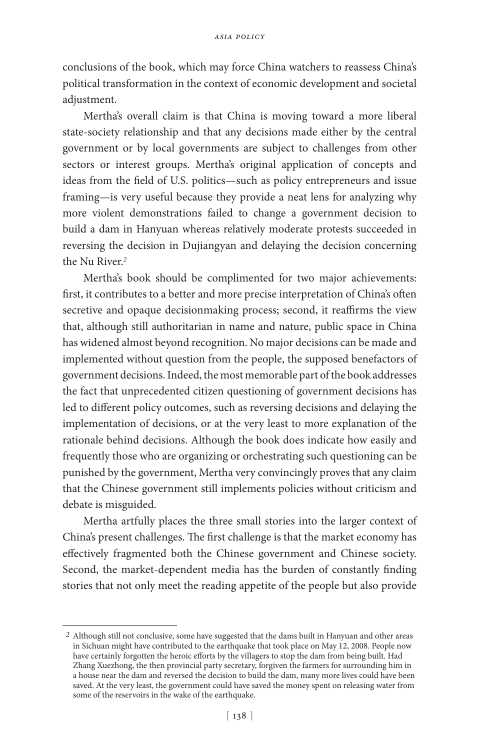conclusions of the book, which may force China watchers to reassess China's political transformation in the context of economic development and societal adjustment.

Mertha's overall claim is that China is moving toward a more liberal state-society relationship and that any decisions made either by the central government or by local governments are subject to challenges from other sectors or interest groups. Mertha's original application of concepts and ideas from the field of U.S. politics—such as policy entrepreneurs and issue framing—is very useful because they provide a neat lens for analyzing why more violent demonstrations failed to change a government decision to build a dam in Hanyuan whereas relatively moderate protests succeeded in reversing the decision in Dujiangyan and delaying the decision concerning the Nu River.*<sup>2</sup>*

Mertha's book should be complimented for two major achievements: first, it contributes to a better and more precise interpretation of China's often secretive and opaque decisionmaking process; second, it reaffirms the view that, although still authoritarian in name and nature, public space in China has widened almost beyond recognition. No major decisions can be made and implemented without question from the people, the supposed benefactors of government decisions. Indeed, the most memorable part of the book addresses the fact that unprecedented citizen questioning of government decisions has led to different policy outcomes, such as reversing decisions and delaying the implementation of decisions, or at the very least to more explanation of the rationale behind decisions. Although the book does indicate how easily and frequently those who are organizing or orchestrating such questioning can be punished by the government, Mertha very convincingly proves that any claim that the Chinese government still implements policies without criticism and debate is misguided.

Mertha artfully places the three small stories into the larger context of China's present challenges. The first challenge is that the market economy has effectively fragmented both the Chinese government and Chinese society. Second, the market-dependent media has the burden of constantly finding stories that not only meet the reading appetite of the people but also provide

*<sup>2</sup>* Although still not conclusive, some have suggested that the dams built in Hanyuan and other areas in Sichuan might have contributed to the earthquake that took place on May 12, 2008. People now have certainly forgotten the heroic efforts by the villagers to stop the dam from being built. Had Zhang Xuezhong, the then provincial party secretary, forgiven the farmers for surrounding him in a house near the dam and reversed the decision to build the dam, many more lives could have been saved. At the very least, the government could have saved the money spent on releasing water from some of the reservoirs in the wake of the earthquake.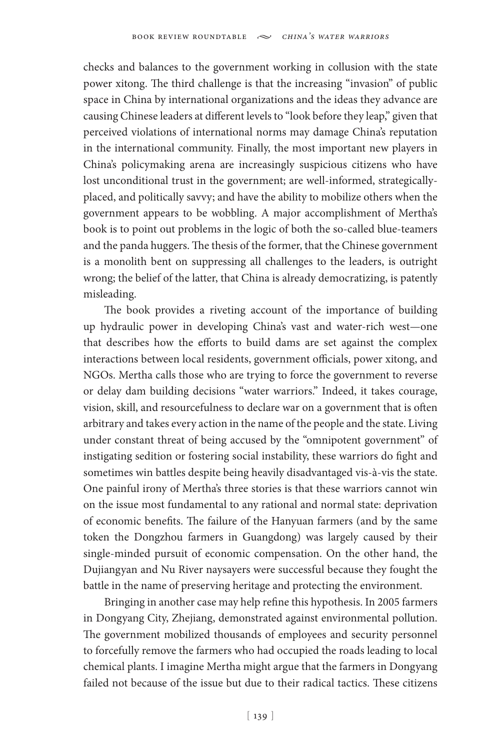checks and balances to the government working in collusion with the state power xitong. The third challenge is that the increasing "invasion" of public space in China by international organizations and the ideas they advance are causing Chinese leaders at different levels to "look before they leap," given that perceived violations of international norms may damage China's reputation in the international community. Finally, the most important new players in China's policymaking arena are increasingly suspicious citizens who have lost unconditional trust in the government; are well-informed, strategicallyplaced, and politically savvy; and have the ability to mobilize others when the government appears to be wobbling. A major accomplishment of Mertha's book is to point out problems in the logic of both the so-called blue-teamers and the panda huggers. The thesis of the former, that the Chinese government is a monolith bent on suppressing all challenges to the leaders, is outright wrong; the belief of the latter, that China is already democratizing, is patently misleading.

The book provides a riveting account of the importance of building up hydraulic power in developing China's vast and water-rich west—one that describes how the efforts to build dams are set against the complex interactions between local residents, government officials, power xitong, and NGOs. Mertha calls those who are trying to force the government to reverse or delay dam building decisions "water warriors." Indeed, it takes courage, vision, skill, and resourcefulness to declare war on a government that is often arbitrary and takes every action in the name of the people and the state. Living under constant threat of being accused by the "omnipotent government" of instigating sedition or fostering social instability, these warriors do fight and sometimes win battles despite being heavily disadvantaged vis-à-vis the state. One painful irony of Mertha's three stories is that these warriors cannot win on the issue most fundamental to any rational and normal state: deprivation of economic benefits. The failure of the Hanyuan farmers (and by the same token the Dongzhou farmers in Guangdong) was largely caused by their single-minded pursuit of economic compensation. On the other hand, the Dujiangyan and Nu River naysayers were successful because they fought the battle in the name of preserving heritage and protecting the environment.

Bringing in another case may help refine this hypothesis. In 2005 farmers in Dongyang City, Zhejiang, demonstrated against environmental pollution. The government mobilized thousands of employees and security personnel to forcefully remove the farmers who had occupied the roads leading to local chemical plants. I imagine Mertha might argue that the farmers in Dongyang failed not because of the issue but due to their radical tactics. These citizens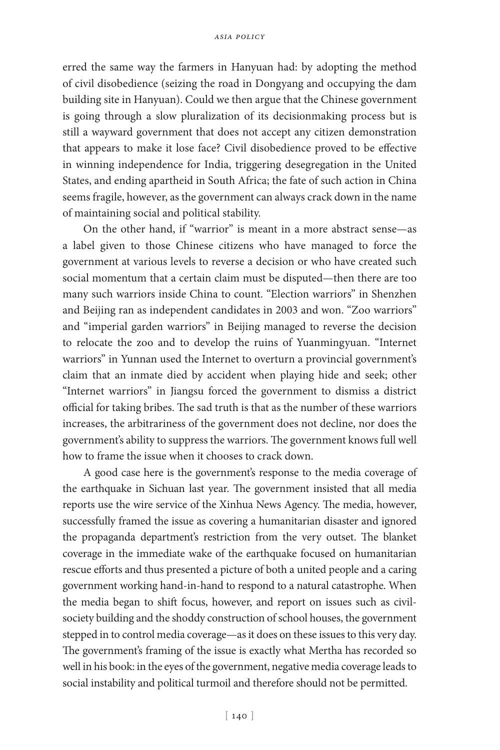erred the same way the farmers in Hanyuan had: by adopting the method of civil disobedience (seizing the road in Dongyang and occupying the dam building site in Hanyuan). Could we then argue that the Chinese government is going through a slow pluralization of its decisionmaking process but is still a wayward government that does not accept any citizen demonstration that appears to make it lose face? Civil disobedience proved to be effective in winning independence for India, triggering desegregation in the United States, and ending apartheid in South Africa; the fate of such action in China seems fragile, however, as the government can always crack down in the name of maintaining social and political stability.

On the other hand, if "warrior" is meant in a more abstract sense—as a label given to those Chinese citizens who have managed to force the government at various levels to reverse a decision or who have created such social momentum that a certain claim must be disputed—then there are too many such warriors inside China to count. "Election warriors" in Shenzhen and Beijing ran as independent candidates in 2003 and won. "Zoo warriors" and "imperial garden warriors" in Beijing managed to reverse the decision to relocate the zoo and to develop the ruins of Yuanmingyuan. "Internet warriors" in Yunnan used the Internet to overturn a provincial government's claim that an inmate died by accident when playing hide and seek; other "Internet warriors" in Jiangsu forced the government to dismiss a district official for taking bribes. The sad truth is that as the number of these warriors increases, the arbitrariness of the government does not decline, nor does the government's ability to suppress the warriors. The government knows full well how to frame the issue when it chooses to crack down.

A good case here is the government's response to the media coverage of the earthquake in Sichuan last year. The government insisted that all media reports use the wire service of the Xinhua News Agency. The media, however, successfully framed the issue as covering a humanitarian disaster and ignored the propaganda department's restriction from the very outset. The blanket coverage in the immediate wake of the earthquake focused on humanitarian rescue efforts and thus presented a picture of both a united people and a caring government working hand-in-hand to respond to a natural catastrophe. When the media began to shift focus, however, and report on issues such as civilsociety building and the shoddy construction of school houses, the government stepped in to control media coverage—as it does on these issues to this very day. The government's framing of the issue is exactly what Mertha has recorded so well in his book: in the eyes of the government, negative media coverage leads to social instability and political turmoil and therefore should not be permitted.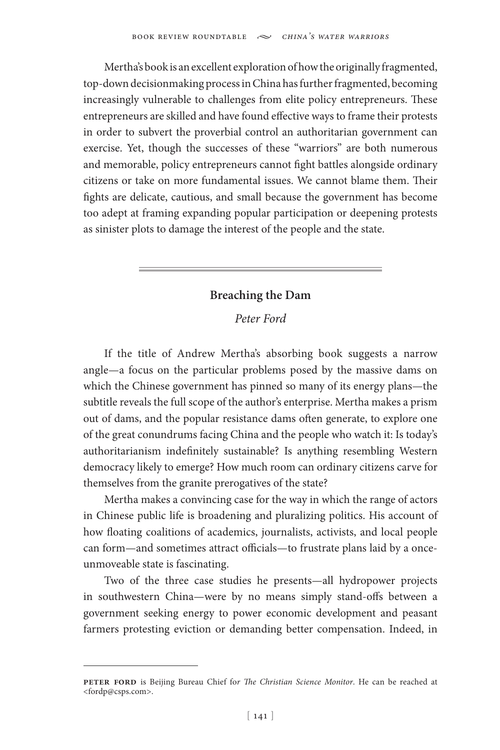Mertha's book is an excellent exploration of how the originally fragmented, top-down decisionmaking process in China has further fragmented, becoming increasingly vulnerable to challenges from elite policy entrepreneurs. These entrepreneurs are skilled and have found effective ways to frame their protests in order to subvert the proverbial control an authoritarian government can exercise. Yet, though the successes of these "warriors" are both numerous and memorable, policy entrepreneurs cannot fight battles alongside ordinary citizens or take on more fundamental issues. We cannot blame them. Their fights are delicate, cautious, and small because the government has become too adept at framing expanding popular participation or deepening protests as sinister plots to damage the interest of the people and the state.

## **Breaching the Dam**

## *Peter Ford*

If the title of Andrew Mertha's absorbing book suggests a narrow angle—a focus on the particular problems posed by the massive dams on which the Chinese government has pinned so many of its energy plans—the subtitle reveals the full scope of the author's enterprise. Mertha makes a prism out of dams, and the popular resistance dams often generate, to explore one of the great conundrums facing China and the people who watch it: Is today's authoritarianism indefinitely sustainable? Is anything resembling Western democracy likely to emerge? How much room can ordinary citizens carve for themselves from the granite prerogatives of the state?

Mertha makes a convincing case for the way in which the range of actors in Chinese public life is broadening and pluralizing politics. His account of how floating coalitions of academics, journalists, activists, and local people can form—and sometimes attract officials—to frustrate plans laid by a onceunmoveable state is fascinating.

Two of the three case studies he presents—all hydropower projects in southwestern China—were by no means simply stand-offs between a government seeking energy to power economic development and peasant farmers protesting eviction or demanding better compensation. Indeed, in

**peter ford** is Beijing Bureau Chief fo*r The Christian Science Monitor*. He can be reached at <fordp@csps.com>.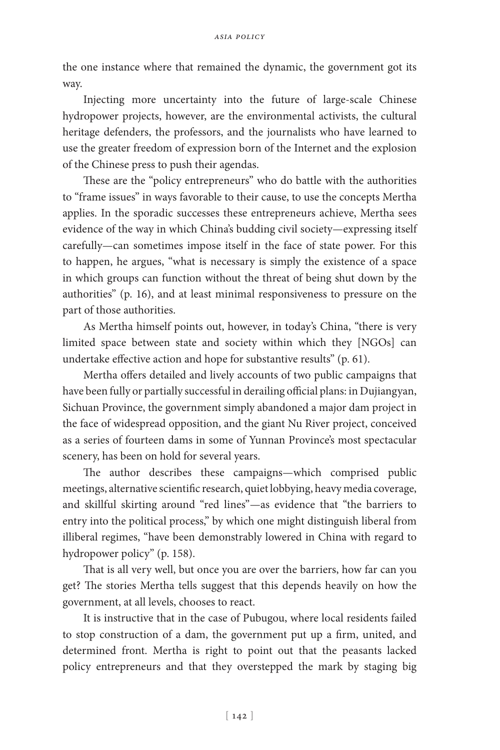the one instance where that remained the dynamic, the government got its way.

Injecting more uncertainty into the future of large-scale Chinese hydropower projects, however, are the environmental activists, the cultural heritage defenders, the professors, and the journalists who have learned to use the greater freedom of expression born of the Internet and the explosion of the Chinese press to push their agendas.

These are the "policy entrepreneurs" who do battle with the authorities to "frame issues" in ways favorable to their cause, to use the concepts Mertha applies. In the sporadic successes these entrepreneurs achieve, Mertha sees evidence of the way in which China's budding civil society—expressing itself carefully—can sometimes impose itself in the face of state power. For this to happen, he argues, "what is necessary is simply the existence of a space in which groups can function without the threat of being shut down by the authorities" (p. 16), and at least minimal responsiveness to pressure on the part of those authorities.

As Mertha himself points out, however, in today's China, "there is very limited space between state and society within which they [NGOs] can undertake effective action and hope for substantive results" (p. 61).

Mertha offers detailed and lively accounts of two public campaigns that have been fully or partially successful in derailing official plans: in Dujiangyan, Sichuan Province, the government simply abandoned a major dam project in the face of widespread opposition, and the giant Nu River project, conceived as a series of fourteen dams in some of Yunnan Province's most spectacular scenery, has been on hold for several years.

The author describes these campaigns—which comprised public meetings, alternative scientific research, quiet lobbying, heavy media coverage, and skillful skirting around "red lines"—as evidence that "the barriers to entry into the political process," by which one might distinguish liberal from illiberal regimes, "have been demonstrably lowered in China with regard to hydropower policy" (p. 158).

That is all very well, but once you are over the barriers, how far can you get? The stories Mertha tells suggest that this depends heavily on how the government, at all levels, chooses to react.

It is instructive that in the case of Pubugou, where local residents failed to stop construction of a dam, the government put up a firm, united, and determined front. Mertha is right to point out that the peasants lacked policy entrepreneurs and that they overstepped the mark by staging big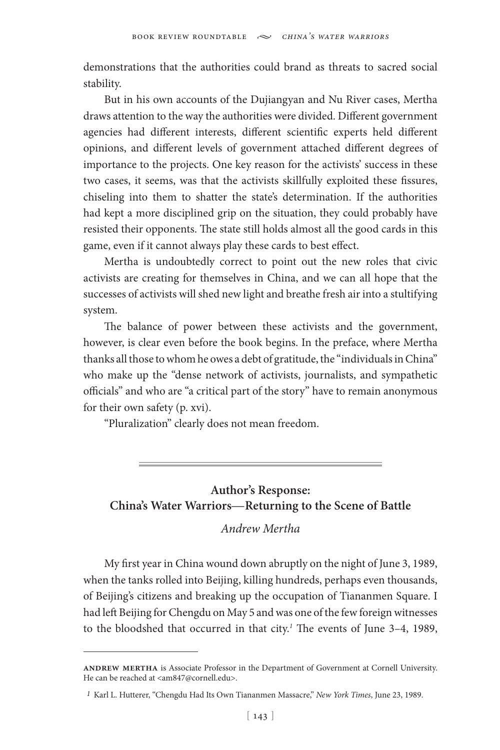demonstrations that the authorities could brand as threats to sacred social stability.

But in his own accounts of the Dujiangyan and Nu River cases, Mertha draws attention to the way the authorities were divided. Different government agencies had different interests, different scientific experts held different opinions, and different levels of government attached different degrees of importance to the projects. One key reason for the activists' success in these two cases, it seems, was that the activists skillfully exploited these fissures, chiseling into them to shatter the state's determination. If the authorities had kept a more disciplined grip on the situation, they could probably have resisted their opponents. The state still holds almost all the good cards in this game, even if it cannot always play these cards to best effect.

Mertha is undoubtedly correct to point out the new roles that civic activists are creating for themselves in China, and we can all hope that the successes of activists will shed new light and breathe fresh air into a stultifying system.

The balance of power between these activists and the government, however, is clear even before the book begins. In the preface, where Mertha thanks all those to whom he owes a debt of gratitude, the "individuals in China" who make up the "dense network of activists, journalists, and sympathetic officials" and who are "a critical part of the story" have to remain anonymous for their own safety (p. xvi).

"Pluralization" clearly does not mean freedom.

**Author's Response: China's Water Warriors**—**Returning to the Scene of Battle**

*Andrew Mertha*

My first year in China wound down abruptly on the night of June 3, 1989, when the tanks rolled into Beijing, killing hundreds, perhaps even thousands, of Beijing's citizens and breaking up the occupation of Tiananmen Square. I had left Beijing for Chengdu on May 5 and was one of the few foreign witnesses to the bloodshed that occurred in that city.*<sup>1</sup>* The events of June 3–4, 1989,

**andrew mertha** is Associate Professor in the Department of Government at Cornell University. He can be reached at <am847@cornell.edu>.

*<sup>1</sup>* Karl L. Hutterer, "Chengdu Had Its Own Tiananmen Massacre," *New York Times*, June 23, 1989.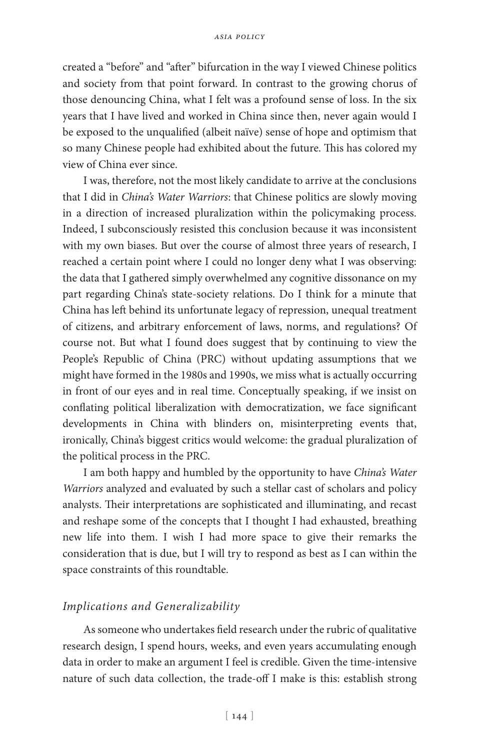created a "before" and "after" bifurcation in the way I viewed Chinese politics and society from that point forward. In contrast to the growing chorus of those denouncing China, what I felt was a profound sense of loss. In the six years that I have lived and worked in China since then, never again would I be exposed to the unqualified (albeit naïve) sense of hope and optimism that so many Chinese people had exhibited about the future. This has colored my view of China ever since.

I was, therefore, not the most likely candidate to arrive at the conclusions that I did in *China's Water Warriors*: that Chinese politics are slowly moving in a direction of increased pluralization within the policymaking process. Indeed, I subconsciously resisted this conclusion because it was inconsistent with my own biases. But over the course of almost three years of research, I reached a certain point where I could no longer deny what I was observing: the data that I gathered simply overwhelmed any cognitive dissonance on my part regarding China's state-society relations. Do I think for a minute that China has left behind its unfortunate legacy of repression, unequal treatment of citizens, and arbitrary enforcement of laws, norms, and regulations? Of course not. But what I found does suggest that by continuing to view the People's Republic of China (PRC) without updating assumptions that we might have formed in the 1980s and 1990s, we miss what is actually occurring in front of our eyes and in real time. Conceptually speaking, if we insist on conflating political liberalization with democratization, we face significant developments in China with blinders on, misinterpreting events that, ironically, China's biggest critics would welcome: the gradual pluralization of the political process in the PRC.

I am both happy and humbled by the opportunity to have *China's Water Warriors* analyzed and evaluated by such a stellar cast of scholars and policy analysts. Their interpretations are sophisticated and illuminating, and recast and reshape some of the concepts that I thought I had exhausted, breathing new life into them. I wish I had more space to give their remarks the consideration that is due, but I will try to respond as best as I can within the space constraints of this roundtable.

### *Implications and Generalizability*

As someone who undertakes field research under the rubric of qualitative research design, I spend hours, weeks, and even years accumulating enough data in order to make an argument I feel is credible. Given the time-intensive nature of such data collection, the trade-off I make is this: establish strong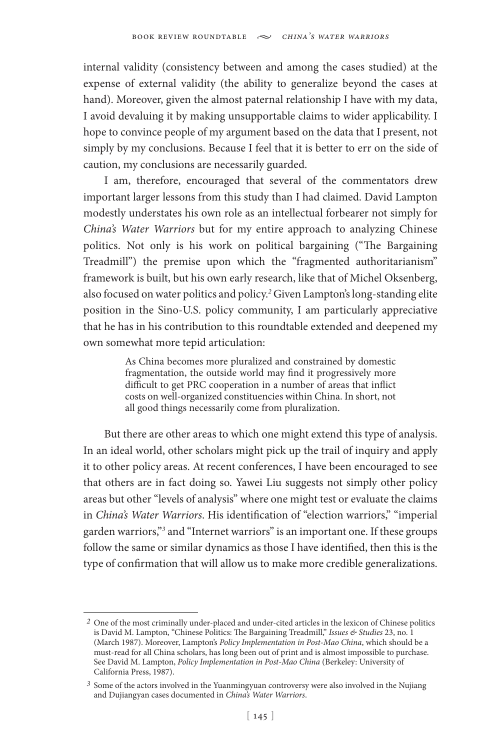internal validity (consistency between and among the cases studied) at the expense of external validity (the ability to generalize beyond the cases at hand). Moreover, given the almost paternal relationship I have with my data, I avoid devaluing it by making unsupportable claims to wider applicability. I hope to convince people of my argument based on the data that I present, not simply by my conclusions. Because I feel that it is better to err on the side of caution, my conclusions are necessarily guarded.

I am, therefore, encouraged that several of the commentators drew important larger lessons from this study than I had claimed. David Lampton modestly understates his own role as an intellectual forbearer not simply for *China's Water Warriors* but for my entire approach to analyzing Chinese politics. Not only is his work on political bargaining ("The Bargaining Treadmill") the premise upon which the "fragmented authoritarianism" framework is built, but his own early research, like that of Michel Oksenberg, also focused on water politics and policy.*<sup>2</sup>* Given Lampton's long-standing elite position in the Sino-U.S. policy community, I am particularly appreciative that he has in his contribution to this roundtable extended and deepened my own somewhat more tepid articulation:

> As China becomes more pluralized and constrained by domestic fragmentation, the outside world may find it progressively more difficult to get PRC cooperation in a number of areas that inflict costs on well-organized constituencies within China. In short, not all good things necessarily come from pluralization.

But there are other areas to which one might extend this type of analysis. In an ideal world, other scholars might pick up the trail of inquiry and apply it to other policy areas. At recent conferences, I have been encouraged to see that others are in fact doing so. Yawei Liu suggests not simply other policy areas but other "levels of analysis" where one might test or evaluate the claims in *China's Water Warriors*. His identification of "election warriors," "imperial garden warriors,"<sup>3</sup> and "Internet warriors" is an important one. If these groups follow the same or similar dynamics as those I have identified, then this is the type of confirmation that will allow us to make more credible generalizations.

*<sup>2</sup>* One of the most criminally under-placed and under-cited articles in the lexicon of Chinese politics is David M. Lampton, "Chinese Politics: The Bargaining Treadmill," *Issues & Studies* 23, no. 1 (March 1987). Moreover, Lampton's *Policy Implementation in Post-Mao China*, which should be a must-read for all China scholars, has long been out of print and is almost impossible to purchase. See David M. Lampton, *Policy Implementation in Post-Mao China* (Berkeley: University of California Press, 1987).

*<sup>3</sup>* Some of the actors involved in the Yuanmingyuan controversy were also involved in the Nujiang and Dujiangyan cases documented in *China's Water Warriors*.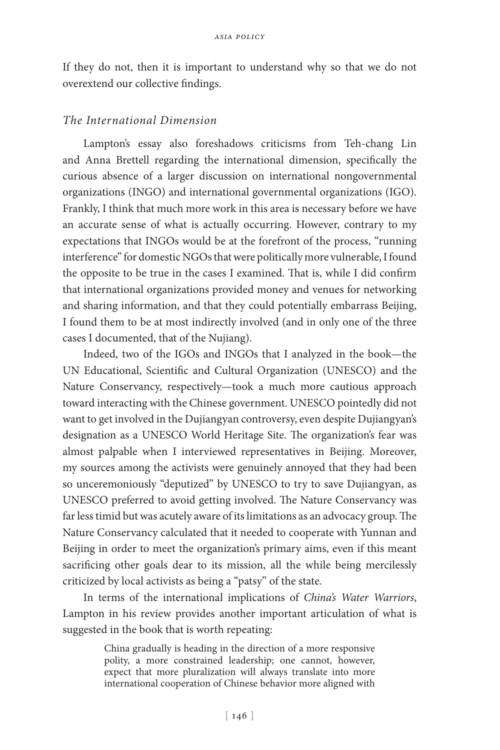If they do not, then it is important to understand why so that we do not overextend our collective findings.

#### *The International Dimension*

Lampton's essay also foreshadows criticisms from Teh-chang Lin and Anna Brettell regarding the international dimension, specifically the curious absence of a larger discussion on international nongovernmental organizations (INGO) and international governmental organizations (IGO). Frankly, I think that much more work in this area is necessary before we have an accurate sense of what is actually occurring. However, contrary to my expectations that INGOs would be at the forefront of the process, "running interference" for domestic NGOs that were politically more vulnerable, I found the opposite to be true in the cases I examined. That is, while I did confirm that international organizations provided money and venues for networking and sharing information, and that they could potentially embarrass Beijing, I found them to be at most indirectly involved (and in only one of the three cases I documented, that of the Nujiang).

Indeed, two of the IGOs and INGOs that I analyzed in the book—the UN Educational, Scientific and Cultural Organization (UNESCO) and the Nature Conservancy, respectively—took a much more cautious approach toward interacting with the Chinese government. UNESCO pointedly did not want to get involved in the Dujiangyan controversy, even despite Dujiangyan's designation as a UNESCO World Heritage Site. The organization's fear was almost palpable when I interviewed representatives in Beijing. Moreover, my sources among the activists were genuinely annoyed that they had been so unceremoniously "deputized" by UNESCO to try to save Dujiangyan, as UNESCO preferred to avoid getting involved. The Nature Conservancy was far less timid but was acutely aware of its limitations as an advocacy group. The Nature Conservancy calculated that it needed to cooperate with Yunnan and Beijing in order to meet the organization's primary aims, even if this meant sacrificing other goals dear to its mission, all the while being mercilessly criticized by local activists as being a "patsy" of the state.

In terms of the international implications of *China's Water Warriors*, Lampton in his review provides another important articulation of what is suggested in the book that is worth repeating:

> China gradually is heading in the direction of a more responsive polity, a more constrained leadership; one cannot, however, expect that more pluralization will always translate into more international cooperation of Chinese behavior more aligned with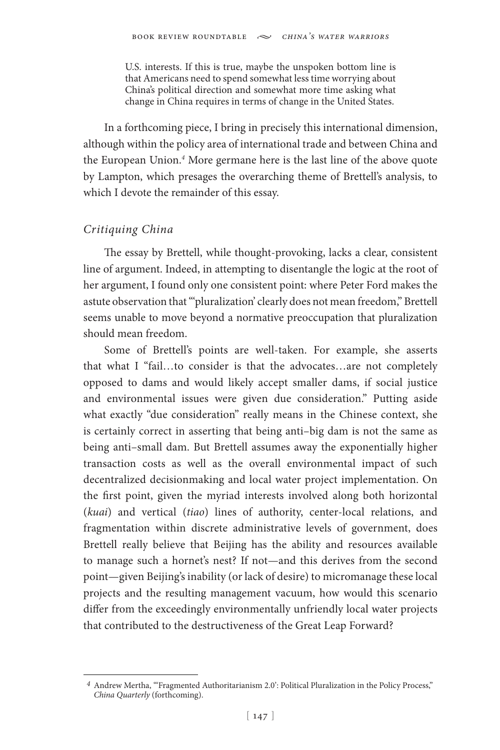U.S. interests. If this is true, maybe the unspoken bottom line is that Americans need to spend somewhat less time worrying about China's political direction and somewhat more time asking what change in China requires in terms of change in the United States.

In a forthcoming piece, I bring in precisely this international dimension, although within the policy area of international trade and between China and the European Union.*<sup>4</sup>* More germane here is the last line of the above quote by Lampton, which presages the overarching theme of Brettell's analysis, to which I devote the remainder of this essay.

## *Critiquing China*

The essay by Brettell, while thought-provoking, lacks a clear, consistent line of argument. Indeed, in attempting to disentangle the logic at the root of her argument, I found only one consistent point: where Peter Ford makes the astute observation that "'pluralization' clearly does not mean freedom," Brettell seems unable to move beyond a normative preoccupation that pluralization should mean freedom.

Some of Brettell's points are well-taken. For example, she asserts that what I "fail…to consider is that the advocates…are not completely opposed to dams and would likely accept smaller dams, if social justice and environmental issues were given due consideration." Putting aside what exactly "due consideration" really means in the Chinese context, she is certainly correct in asserting that being anti–big dam is not the same as being anti–small dam. But Brettell assumes away the exponentially higher transaction costs as well as the overall environmental impact of such decentralized decisionmaking and local water project implementation. On the first point, given the myriad interests involved along both horizontal (*kuai*) and vertical (*tiao*) lines of authority, center-local relations, and fragmentation within discrete administrative levels of government, does Brettell really believe that Beijing has the ability and resources available to manage such a hornet's nest? If not—and this derives from the second point—given Beijing's inability (or lack of desire) to micromanage these local projects and the resulting management vacuum, how would this scenario differ from the exceedingly environmentally unfriendly local water projects that contributed to the destructiveness of the Great Leap Forward?

*<sup>4</sup>* Andrew Mertha, "'Fragmented Authoritarianism 2.0': Political Pluralization in the Policy Process," *China Quarterly* (forthcoming).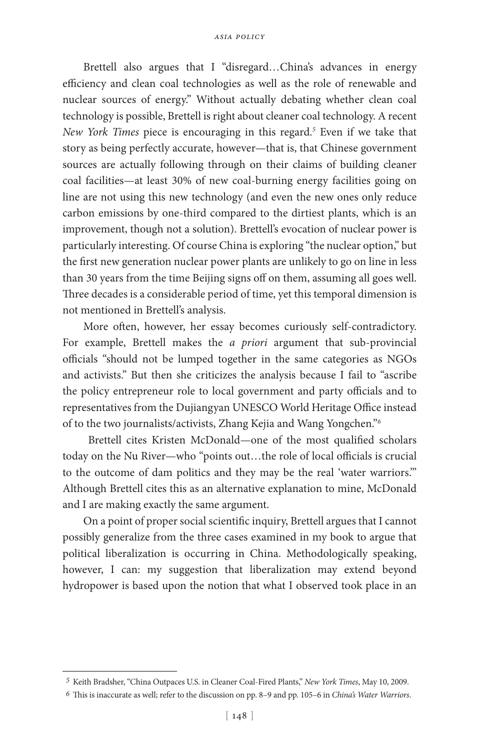Brettell also argues that I "disregard…China's advances in energy efficiency and clean coal technologies as well as the role of renewable and nuclear sources of energy." Without actually debating whether clean coal technology is possible, Brettell is right about cleaner coal technology. A recent *New York Times* piece is encouraging in this regard.*<sup>5</sup>* Even if we take that story as being perfectly accurate, however—that is, that Chinese government sources are actually following through on their claims of building cleaner coal facilities—at least 30% of new coal-burning energy facilities going on line are not using this new technology (and even the new ones only reduce carbon emissions by one-third compared to the dirtiest plants, which is an improvement, though not a solution). Brettell's evocation of nuclear power is particularly interesting. Of course China is exploring "the nuclear option," but the first new generation nuclear power plants are unlikely to go on line in less than 30 years from the time Beijing signs off on them, assuming all goes well. Three decades is a considerable period of time, yet this temporal dimension is not mentioned in Brettell's analysis.

More often, however, her essay becomes curiously self-contradictory. For example, Brettell makes the *a priori* argument that sub-provincial officials "should not be lumped together in the same categories as NGOs and activists." But then she criticizes the analysis because I fail to "ascribe the policy entrepreneur role to local government and party officials and to representatives from the Dujiangyan UNESCO World Heritage Office instead of to the two journalists/activists, Zhang Kejia and Wang Yongchen."*<sup>6</sup>*

 Brettell cites Kristen McDonald—one of the most qualified scholars today on the Nu River—who "points out…the role of local officials is crucial to the outcome of dam politics and they may be the real 'water warriors.'" Although Brettell cites this as an alternative explanation to mine, McDonald and I are making exactly the same argument.

On a point of proper social scientific inquiry, Brettell argues that I cannot possibly generalize from the three cases examined in my book to argue that political liberalization is occurring in China. Methodologically speaking, however, I can: my suggestion that liberalization may extend beyond hydropower is based upon the notion that what I observed took place in an

*<sup>5</sup>* Keith Bradsher, "China Outpaces U.S. in Cleaner Coal-Fired Plants," *New York Times*, May 10, 2009.

*<sup>6</sup>* This is inaccurate as well; refer to the discussion on pp. 8–9 and pp. 105–6 in *China's Water Warriors*.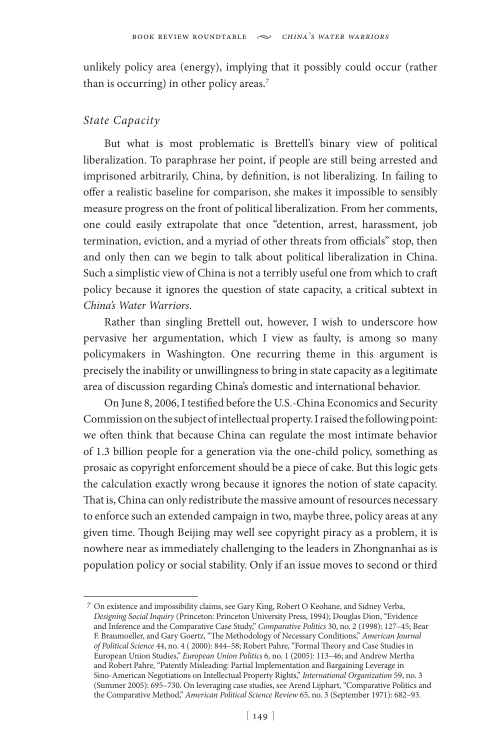unlikely policy area (energy), implying that it possibly could occur (rather than is occurring) in other policy areas.*<sup>7</sup>*

## *State Capacity*

But what is most problematic is Brettell's binary view of political liberalization. To paraphrase her point, if people are still being arrested and imprisoned arbitrarily, China, by definition, is not liberalizing. In failing to offer a realistic baseline for comparison, she makes it impossible to sensibly measure progress on the front of political liberalization. From her comments, one could easily extrapolate that once "detention, arrest, harassment, job termination, eviction, and a myriad of other threats from officials" stop, then and only then can we begin to talk about political liberalization in China. Such a simplistic view of China is not a terribly useful one from which to craft policy because it ignores the question of state capacity, a critical subtext in *China's Water Warriors*.

Rather than singling Brettell out, however, I wish to underscore how pervasive her argumentation, which I view as faulty, is among so many policymakers in Washington. One recurring theme in this argument is precisely the inability or unwillingness to bring in state capacity as a legitimate area of discussion regarding China's domestic and international behavior.

On June 8, 2006, I testified before the U.S.-China Economics and Security Commission on the subject of intellectual property. I raised the following point: we often think that because China can regulate the most intimate behavior of 1.3 billion people for a generation via the one-child policy, something as prosaic as copyright enforcement should be a piece of cake. But this logic gets the calculation exactly wrong because it ignores the notion of state capacity. That is, China can only redistribute the massive amount of resources necessary to enforce such an extended campaign in two, maybe three, policy areas at any given time. Though Beijing may well see copyright piracy as a problem, it is nowhere near as immediately challenging to the leaders in Zhongnanhai as is population policy or social stability. Only if an issue moves to second or third

*<sup>7</sup>* On existence and impossibility claims, see Gary King, Robert O Keohane, and Sidney Verba, *Designing Social Inquiry* (Princeton: Princeton University Press, 1994); Douglas Dion, "Evidence and Inference and the Comparative Case Study," *Comparative Politics* 30, no. 2 (1998): 127–45; Bear F. Braumoeller, and Gary Goertz, "The Methodology of Necessary Conditions," *American Journal of Political Science* 44, no. 4 ( 2000): 844–58; Robert Pahre, "Formal Theory and Case Studies in European Union Studies," *European Union Politics* 6, no. 1 (2005): 113–46; and Andrew Mertha and Robert Pahre, "Patently Misleading: Partial Implementation and Bargaining Leverage in Sino-American Negotiations on Intellectual Property Rights," *International Organization* 59, no. 3 (Summer 2005): 695–730. On leveraging case studies, see Arend Lijphart, "Comparative Politics and the Comparative Method," *American Political Science Review* 65, no. 3 (September 1971): 682–93.